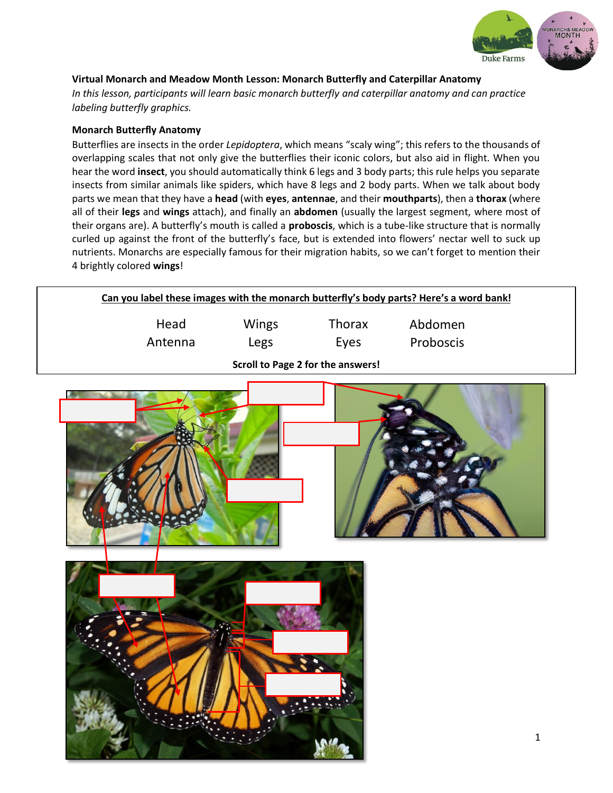

## **Virtual Monarch and Meadow Month Lesson: Monarch Butterfly and Caterpillar Anatomy**

*In this lesson, participants will learn basic monarch butterfly and caterpillar anatomy and can practice labeling butterfly graphics.*

#### **Monarch Butterfly Anatomy**

Butterflies are insects in the order *Lepidoptera*, which means "scaly wing"; this refers to the thousands of overlapping scales that not only give the butterflies their iconic colors, but also aid in flight. When you hear the word **insect**, you should automatically think 6 legs and 3 body parts; this rule helps you separate insects from similar animals like spiders, which have 8 legs and 2 body parts. When we talk about body parts we mean that they have a **head** (with **eyes**, **antennae**, and their **mouthparts**), then a **thorax** (where all of their **legs** and **wings** attach), and finally an **abdomen** (usually the largest segment, where most of their organs are). A butterfly's mouth is called a **proboscis**, which is a tube-like structure that is normally curled up against the front of the butterfly's face, but is extended into flowers' nectar well to suck up nutrients. Monarchs are especially famous for their migration habits, so we can't forget to mention their 4 brightly colored **wings**!

|                                   | Can you label these images with the monarch butterfly's body parts? Here's a word bank! |       |        |                  |  |  |  |
|-----------------------------------|-----------------------------------------------------------------------------------------|-------|--------|------------------|--|--|--|
|                                   | Head                                                                                    | Wings | Thorax | Abdomen          |  |  |  |
|                                   | Antenna                                                                                 | Legs  | Eves   | <b>Proboscis</b> |  |  |  |
| Scroll to Page 2 for the answers! |                                                                                         |       |        |                  |  |  |  |





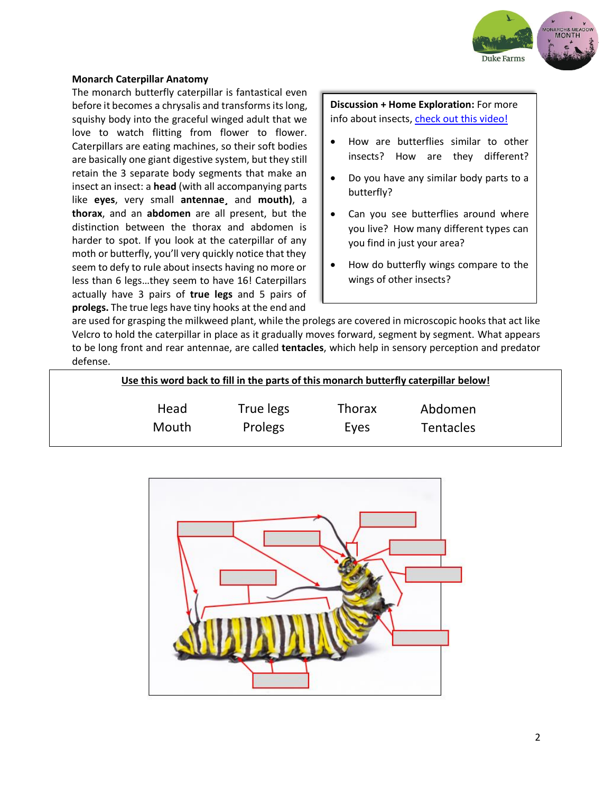

#### **Monarch Caterpillar Anatomy**

The monarch butterfly caterpillar is fantastical even before it becomes a chrysalis and transforms its long, squishy body into the graceful winged adult that we love to watch flitting from flower to flower. Caterpillars are eating machines, so their soft bodies are basically one giant digestive system, but they still retain the 3 separate body segments that make an insect an insect: a **head** (with all accompanying parts like **eyes**, very small **antennae¸** and **mouth)**, a **thorax**, and an **abdomen** are all present, but the distinction between the thorax and abdomen is harder to spot. If you look at the caterpillar of any moth or butterfly, you'll very quickly notice that they seem to defy to rule about insects having no more or less than 6 legs…they seem to have 16! Caterpillars actually have 3 pairs of **true legs** and 5 pairs of **prolegs.** The true legs have tiny hooks at the end and

## **Discussion + Home Exploration:** For more info about insects[, check out this video!](https://www.youtube.com/watch?v=3166nK3Gym8)

- How are butterflies similar to other insects? How are they different?
- Do you have any similar body parts to a butterfly?
- Can you see butterflies around where you live? How many different types can you find in just your area?
- How do butterfly wings compare to the wings of other insects?

are used for grasping the milkweed plant, while the prolegs are covered in microscopic hooks that act like Velcro to hold the caterpillar in place as it gradually moves forward, segment by segment. What appears to be long front and rear antennae, are called **tentacles**, which help in sensory perception and predator defense.

| Use this word back to fill in the parts of this monarch butterfly caterpillar below! |           |               |                  |  |  |  |
|--------------------------------------------------------------------------------------|-----------|---------------|------------------|--|--|--|
| Head                                                                                 | True legs | <b>Thorax</b> | Abdomen          |  |  |  |
| Mouth                                                                                | Prolegs   | Eyes          | <b>Tentacles</b> |  |  |  |